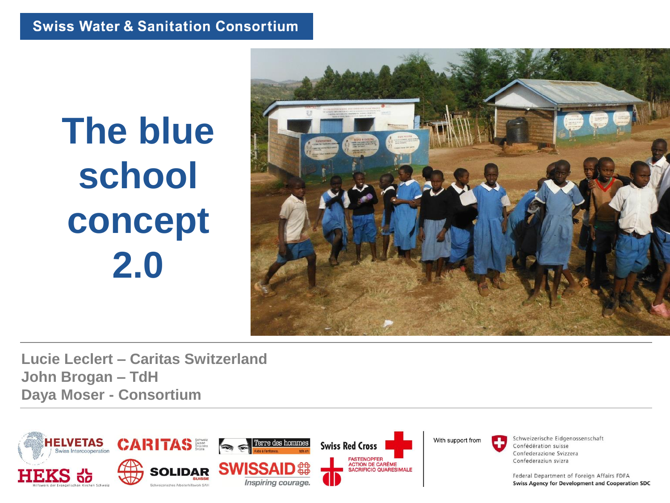#### **Swiss Water & Sanitation Consortium**

# **The blue school concept 2.0**



**Lucie Leclert – Caritas Switzerland John Brogan – TdH Daya Moser - Consortium**



With support from



Schweizerische Eidgenossenschaft Confédération suisse Confederazione Svizzera Confederaziun svizra

Federal Department of Foreign Affairs FDFA **Swiss Agency for Development and Cooperation SDC**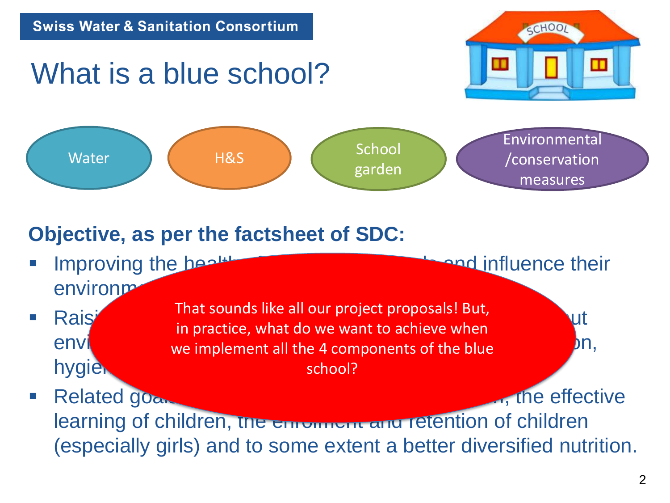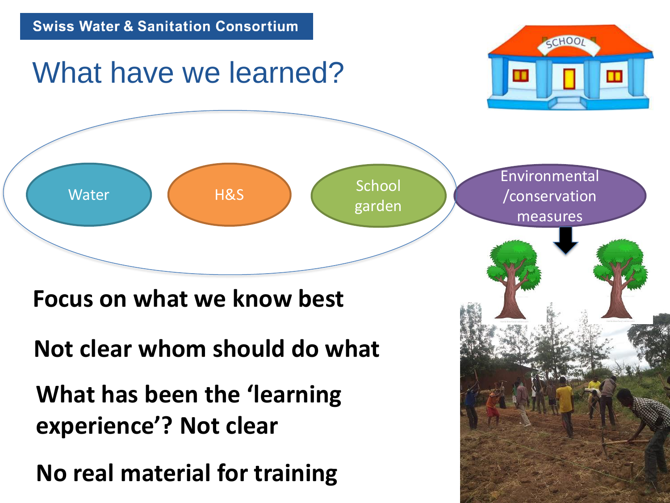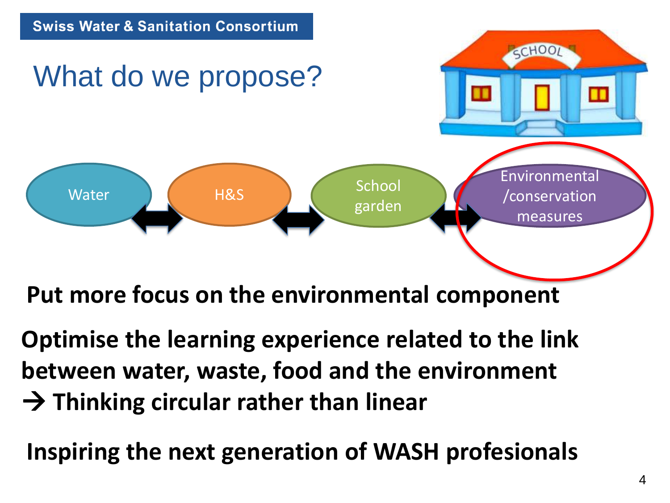

**Put more focus on the environmental component**

**Optimise the learning experience related to the link between water, waste, food and the environment Thinking circular rather than linear**

**Inspiring the next generation of WASH profesionals**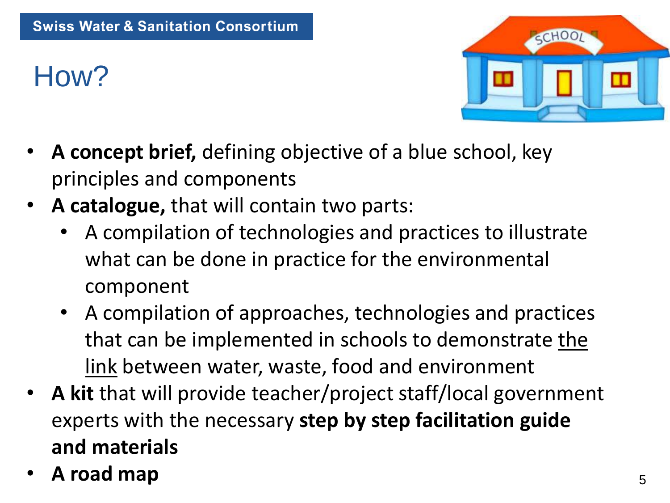How?



- **A concept brief,** defining objective of a blue school, key principles and components
- **A catalogue,** that will contain two parts:
	- A compilation of technologies and practices to illustrate what can be done in practice for the environmental component
	- A compilation of approaches, technologies and practices that can be implemented in schools to demonstrate the link between water, waste, food and environment
- **A kit** that will provide teacher/project staff/local government experts with the necessary **step by step facilitation guide and materials**
- **A road map**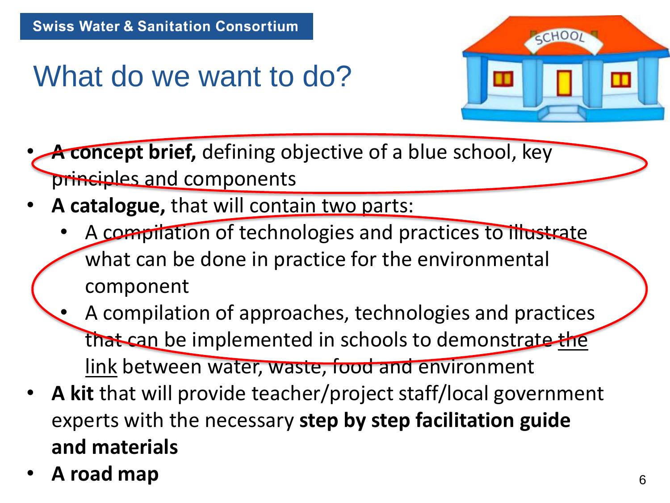## What do we want to do?



- **A concept brief,** defining objective of a blue school, key principles and components
- **A catalogue,** that will contain two parts:
	- A compilation of technologies and practices to illustrate what can be done in practice for the environmental component
	- A compilation of approaches, technologies and practices that can be implemented in schools to demonstrate the link between water, waste, food and environment
- **A kit** that will provide teacher/project staff/local government experts with the necessary **step by step facilitation guide and materials**
- **A road map**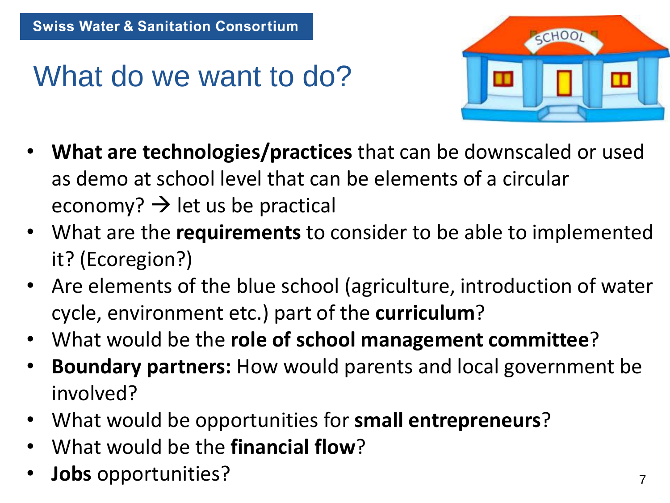### What do we want to do?



- **What are technologies/practices** that can be downscaled or used as demo at school level that can be elements of a circular economy?  $\rightarrow$  let us be practical
- What are the **requirements** to consider to be able to implemented it? (Ecoregion?)
- Are elements of the blue school (agriculture, introduction of water cycle, environment etc.) part of the **curriculum**?
- What would be the **role of school management committee**?
- **Boundary partners:** How would parents and local government be involved?
- What would be opportunities for **small entrepreneurs**?
- What would be the **financial flow**?
- **Jobs** opportunities?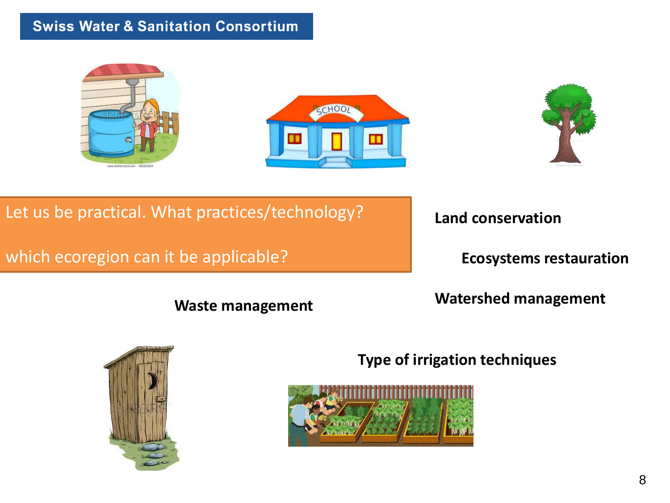#### **Swiss Water & Sanitation Consortium**







Let us be practical. What practices/technology?

which ecoregion can it be applicable?

**Land conservation**

**Ecosystems restauration**

**Waste management**

**Watershed management**



### **Type of irrigation techniques**